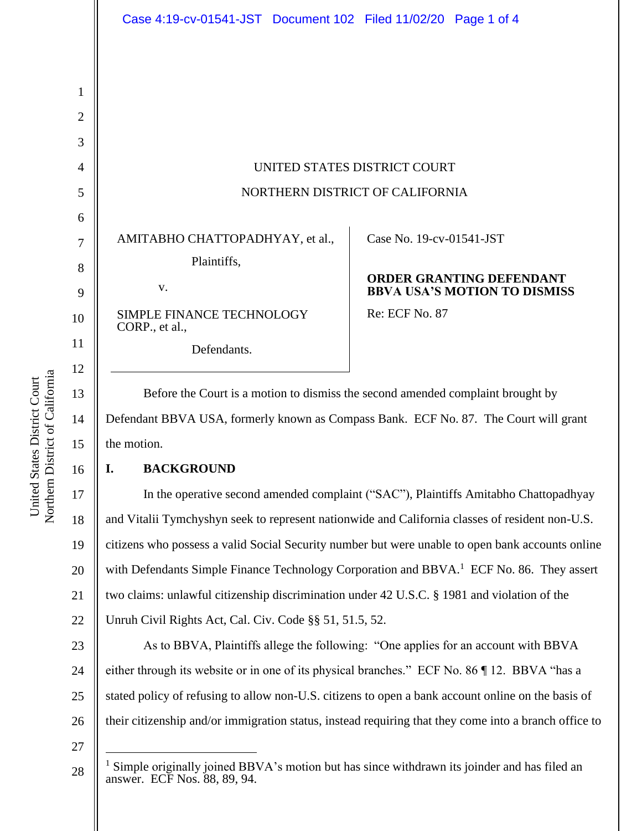# UNITED STATES DISTRICT COURT NORTHERN DISTRICT OF CALIFORNIA

AMITABHO CHATTOPADHYAY, et al., Plaintiffs,

Defendants.

v.

SIMPLE FINANCE TECHNOLOGY CORP., et al.,

Case No. [19-cv-01541-JST](https://ecf.cand.uscourts.gov/cgi-bin/DktRpt.pl?339889) 

## **ORDER GRANTING DEFENDANT BBVA USA'S MOTION TO DISMISS**

Re: ECF No. 87

Before the Court is a motion to dismiss the second amended complaint brought by Defendant BBVA USA, formerly known as Compass Bank. ECF No. 87. The Court will grant the motion.

# **I. BACKGROUND**

In the operative second amended complaint ("SAC"), Plaintiffs Amitabho Chattopadhyay and Vitalii Tymchyshyn seek to represent nationwide and California classes of resident non-U.S. citizens who possess a valid Social Security number but were unable to open bank accounts online with Defendants Simple Finance Technology Corporation and BBVA.<sup>1</sup> ECF No. 86. They assert two claims: unlawful citizenship discrimination under 42 U.S.C. § 1981 and violation of the Unruh Civil Rights Act, Cal. Civ. Code §§ 51, 51.5, 52.

23 24 25 26 As to BBVA, Plaintiffs allege the following: "One applies for an account with BBVA either through its website or in one of its physical branches." ECF No. 86 ¶ 12. BBVA "has a stated policy of refusing to allow non-U.S. citizens to open a bank account online on the basis of their citizenship and/or immigration status, instead requiring that they come into a branch office to

27

28

15

16

17

18

19

20

21

Simple originally joined BBVA's motion but has since withdrawn its joinder and has filed an answer. ECF Nos. 88, 89, 94.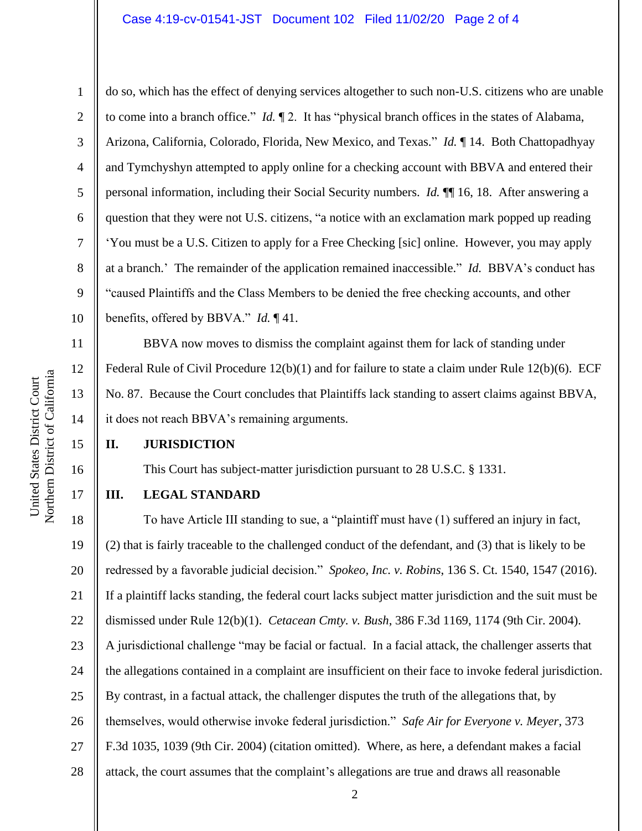#### Case 4:19-cv-01541-JST Document 102 Filed 11/02/20 Page 2 of 4

do so, which has the effect of denying services altogether to such non-U.S. citizens who are unable to come into a branch office." *Id.* ¶ 2. It has "physical branch offices in the states of Alabama, Arizona, California, Colorado, Florida, New Mexico, and Texas." *Id.* ¶ 14. Both Chattopadhyay and Tymchyshyn attempted to apply online for a checking account with BBVA and entered their personal information, including their Social Security numbers. *Id.* ¶¶ 16, 18. After answering a question that they were not U.S. citizens, "a notice with an exclamation mark popped up reading 'You must be a U.S. Citizen to apply for a Free Checking [sic] online. However, you may apply at a branch.' The remainder of the application remained inaccessible." *Id.* BBVA's conduct has "caused Plaintiffs and the Class Members to be denied the free checking accounts, and other benefits, offered by BBVA." *Id.* ¶ 41.

BBVA now moves to dismiss the complaint against them for lack of standing under Federal Rule of Civil Procedure 12(b)(1) and for failure to state a claim under Rule 12(b)(6). ECF No. 87. Because the Court concludes that Plaintiffs lack standing to assert claims against BBVA, it does not reach BBVA's remaining arguments.

#### **II. JURISDICTION**

This Court has subject-matter jurisdiction pursuant to 28 U.S.C. § 1331.

### **III. LEGAL STANDARD**

18 19 20 21 22 23 24 25 26 27 28 To have Article III standing to sue, a "plaintiff must have (1) suffered an injury in fact, (2) that is fairly traceable to the challenged conduct of the defendant, and (3) that is likely to be redressed by a favorable judicial decision." *Spokeo, Inc. v. Robins*, 136 S. Ct. 1540, 1547 (2016). If a plaintiff lacks standing, the federal court lacks subject matter jurisdiction and the suit must be dismissed under Rule 12(b)(1). *Cetacean Cmty. v. Bush*, 386 F.3d 1169, 1174 (9th Cir. 2004). A jurisdictional challenge "may be facial or factual. In a facial attack, the challenger asserts that the allegations contained in a complaint are insufficient on their face to invoke federal jurisdiction. By contrast, in a factual attack, the challenger disputes the truth of the allegations that, by themselves, would otherwise invoke federal jurisdiction." *Safe Air for Everyone v. Meyer*, 373 F.3d 1035, 1039 (9th Cir. 2004) (citation omitted). Where, as here, a defendant makes a facial attack, the court assumes that the complaint's allegations are true and draws all reasonable

1

2

3

4

5

6

7

8

9

10

11

12

13

14

15

16

17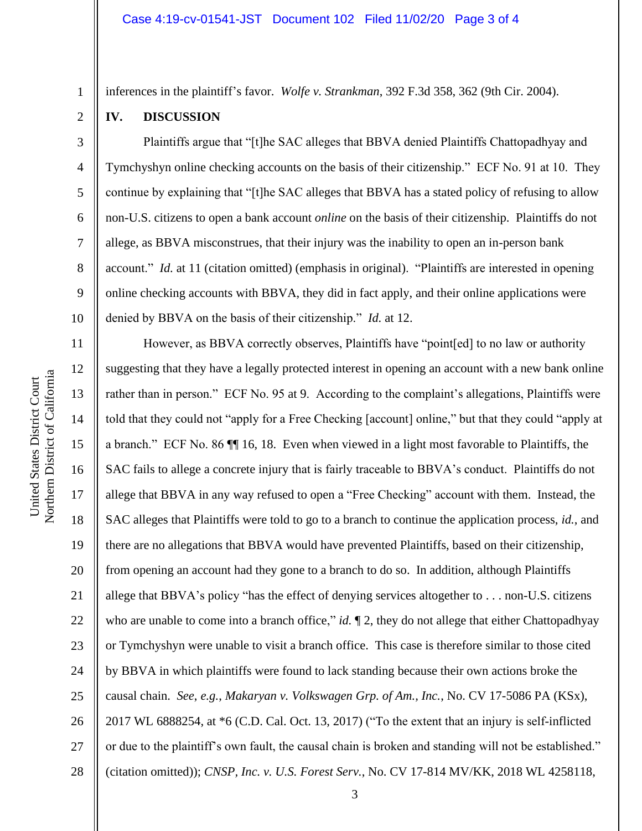#### **IV. DISCUSSION**

1

2

3

4

5

6

7

8

9

10

Plaintiffs argue that "[t]he SAC alleges that BBVA denied Plaintiffs Chattopadhyay and Tymchyshyn online checking accounts on the basis of their citizenship." ECF No. 91 at 10. They continue by explaining that "[t]he SAC alleges that BBVA has a stated policy of refusing to allow non-U.S. citizens to open a bank account *online* on the basis of their citizenship. Plaintiffs do not allege, as BBVA misconstrues, that their injury was the inability to open an in-person bank account." *Id.* at 11 (citation omitted) (emphasis in original). "Plaintiffs are interested in opening online checking accounts with BBVA, they did in fact apply, and their online applications were denied by BBVA on the basis of their citizenship." *Id.* at 12.

11 12 13 14 15 16 17 18 19 20 21 22 23 24 25 26 27 28 However, as BBVA correctly observes, Plaintiffs have "point[ed] to no law or authority suggesting that they have a legally protected interest in opening an account with a new bank online rather than in person." ECF No. 95 at 9. According to the complaint's allegations, Plaintiffs were told that they could not "apply for a Free Checking [account] online," but that they could "apply at a branch." ECF No. 86 ¶¶ 16, 18. Even when viewed in a light most favorable to Plaintiffs, the SAC fails to allege a concrete injury that is fairly traceable to BBVA's conduct. Plaintiffs do not allege that BBVA in any way refused to open a "Free Checking" account with them. Instead, the SAC alleges that Plaintiffs were told to go to a branch to continue the application process, *id.*, and there are no allegations that BBVA would have prevented Plaintiffs, based on their citizenship, from opening an account had they gone to a branch to do so. In addition, although Plaintiffs allege that BBVA's policy "has the effect of denying services altogether to . . . non-U.S. citizens who are unable to come into a branch office," *id*.  $\llbracket 2$ , they do not allege that either Chattopadhyay or Tymchyshyn were unable to visit a branch office. This case is therefore similar to those cited by BBVA in which plaintiffs were found to lack standing because their own actions broke the causal chain. *See*, *e.g.*, *Makaryan v. Volkswagen Grp. of Am., Inc.*, No. CV 17-5086 PA (KSx), 2017 WL 6888254, at \*6 (C.D. Cal. Oct. 13, 2017) ("To the extent that an injury is self-inflicted or due to the plaintiff's own fault, the causal chain is broken and standing will not be established." (citation omitted)); *CNSP, Inc. v. U.S. Forest Serv.*, No. CV 17-814 MV/KK, 2018 WL 4258118,